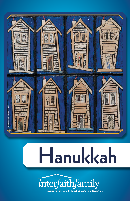

# **Hanukkah**

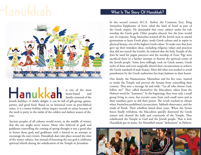## **Hannes What Is The Story Of Hanukkah?**



### **Hanukkah** is one of the most

home-based family-centered of the

Jewish holidays. A child's delight, it can be full of gift-giving, games, parties, and good food. Based on an historical event in post-biblical times, it is a minor holiday whose impact exceeds its status because of the need to party in the midst of the coldest and darkest season of the year.

Ancient peoples of all cultures would worry, in the middle of winter, that the sun might never return. Many who believed in gods and goddesses controlling the coming of spring thought it was a good idea to honor those gods and goddesses with a festival in an attempt to encourage the sun's return. Hanukkah does take place around the time of the winter solstice, but instead of honoring the sun god it celebrates spiritual rebirth during the rededication of the Temple in Jerusalem.

In the second century B.C.E. (before the Common Era), King Antiochus Epiphanies of Syria ruled the land of Israel as part of the Greek empire. He demanded that every subject under his rule worship the Greek gods. Other peoples obeyed, but the Jews would not. In response, King Antiochus wanted all the Jewish men to attend gymnasium to learn Greek plays, study Greek culture and to aspire to physical beauty, one of the highest Greek values. To make sure that Jews gave up their mistaken ideas, including religious values and practices that did not match the Greek's, he ordered that the holy Temple of the Jews be used for pagan practices and the worship of Zeus. Pigs were sacrificed there in a further attempt to destroy the spiritual center of the Jewish people. Some Jews willingly took on Greek names, Greek styles of dress and even surgically altered their circumcisions to achieve the Greek standard of male beauty. Most did what was needed to avoid punishment by the Greek authorities but kept Judaism in their hearts.

One family, the Hasmoneans, Mattathias and his five sons, wanted to retake the Temple and prevent the Syrians from controlling their country. They sent a message far and wide: "Let all who choose God, follow me!" They called themselves the Maccabees, taken from the Hebrew word for "hammers." In the beginning, they were only a small group living in caves, but recruits came from each small town and as their numbers grew so did their power. The revolt reached its climax when Antiochus prohibited circumcision, Sabbath observance, and the study of Torah. Their rebellion lasted three years. When the Syrian forces finally withdrew, the Maccabees quickly destroyed the Greek statues and cleaned the halls and courtyards of the Temple. They rededicated the Temple to God and the Jewish people. That is how Hanukkah got its name, for *Hanukkah* means "dedication" in Hebrew.

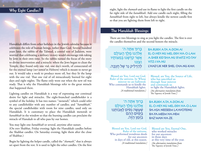### **Why Eight Candles?**

Hanukkah differs from other holidays in the Jewish calendar because it celebrates the role of human beings, rather than God. Several hundred years later, the rabbis of the Talmud, a central text of Judaism, were worried that celebrating a military victory would encourage risk-taking by Jews in their own time. So the rabbis turned the focus of the story to divine intervention and a miracle: when the Jews began to clean the Temple, they found only one vial, one day's worth, of consecrated oil for the eternal lamp (*ner tamid* in Hebrew) which is meant to never go out. It would take a week to produce more oil, but they lit the lamp with the one vial. That one vial of oil miraculously burned for eight days and eight nights. The flame only went out when the new oil was ready. That is why the Hanukkah blessings refer to the great miracle that happened there.

Lighting candles on Hanukkah is a way of expressing our continual desire for light and miracles. The eight-branched candleholder is a symbol of the holiday. It has two names: "*menorah*," which could refer to any candleholder with any number of candles; and "*hanukkiah*," the special candleholder with room for nine candles, used only on Hanukkah. It is customary to place the Hanukkah menorah or *hanukkiah* in the window so that the burning candles can proclaim the miracle of Hanukah to all who pass by our homes.

You may light one *hanukkiah* or several, anytime after sunset.

(On erev Shabbat, Friday evening: light the Hanukkah candles before the Shabbat candles. On Saturday evening, light them after the close of Shabbat.)

Begin by lighting the helper candle, called the "*shamash*," that is always set apart from the rest. It is used to light the other candles. On the first

night, light the *shamash* and use its flame to light the first candle on the far right side of the *hanukkiah*. Add one candle each night, filling the *hanukkiah* from right to left, but always kindle the newest candle first so that you are lighting them from left to right.

#### **The Hanukkah Blessings:**

There are two blessings to sing as you light the candles. The first is over the candles themselves and the second honors the miracle.

| ַּבְרוּךְ אַתָּה ה'                                                                                                                                                                | <b>BA-RUKH A-TA A-DON-AI</b>                                                                                                                                                                                    |
|------------------------------------------------------------------------------------------------------------------------------------------------------------------------------------|-----------------------------------------------------------------------------------------------------------------------------------------------------------------------------------------------------------------|
| אֵלהֵנוּ מֶלֶךְ הָעוֹלָם                                                                                                                                                           | <b>EL-O-HEY-NU MEL-EKH HA-O-LAM</b>                                                                                                                                                                             |
| אֲשֵׁר קִדְּשָׁנוּ בִּמְצוֹתָיו                                                                                                                                                    | A-SHER KID'SHA-NU B'MITZ-VO-TAV                                                                                                                                                                                 |
| וצוּנוּ                                                                                                                                                                            | <b>VITZ-I-VA-NU</b>                                                                                                                                                                                             |
| לְהַדְלִיק נֵר שֶׁל חֲנֻכָּה.                                                                                                                                                      | L'HAD'LIK NER SHEL CHA-NU-KAH.                                                                                                                                                                                  |
| Blessed are You, Lord our God,<br>Ruler of the universe, by Whose<br>mitzvot we are hallowed;<br>Who commands us to kindle the<br>Hanukkah lights.<br>[A traditional translation.] | Blessed, are You, the Source of Life,<br>who has sanctified us<br>through Your mitzvot<br>and commands us<br>to light the Hanukkah lights.<br>[An alternative translation from<br>The Tapestry of Jewish Time.] |
| בַרוּךְ אַתַּה ה'                                                                                                                                                                  | <b>BA-RUKH A-TA A-DON-AI</b>                                                                                                                                                                                    |
| אלהנו מלך העולם                                                                                                                                                                    | <b>EL-O-HEY-NU MEL-EKH HA-O-LAM</b>                                                                                                                                                                             |

 ֹ הָ עולָ ם ְשֶׁעֲשֶׂה נִסּיִם לַאֲבוֹתֵנוּ<br>בִּיּמִים ההם ּבַּ ז ּ ְ מַ ן הַ זֶ ה. **sh-asa neeseem la'avoteinu ba-ya-meem ha-hem baz'man ha-ze.**

Blessed are You, Lord our God, Ruler of the universe, Who performed wondrous deeds<br>for our ancestors in days of old, at this season. *[A traditional translation.]* Blessed are You, Eternal One, who worked miracles for our ancestors in those days at this very time of the year. *[An alternative translation from* The Tapestry of Jewish Time*.]*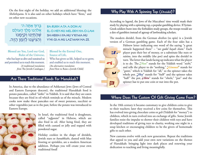On the first night of the holiday, we add an additional blessing: the *Sheheheyanu*. It is also said on other holidays which have "firsts," and on other new occasions.

ׇׅ֧֧֦֧֦֧֦֧֦֧֦֦֧֦֧֦֧֓֬֜ ֿבֳרוּךְ אַתָּה ה' ׇׅ֧֧֦֧֦֧֦֧֦֧֦֧֓ ּאֶלֹהֵנוּ מֶלֶךְ הָעוֹלָם <u>שָׁהָחֱיָנוּ וְקִיּמָנוּ</u> וְ הִ גִּ ּ יעָ נו ּלַ ז ּ ְ מַ ן הָ זֶ ה.

**Ba-rukh A-ta A-don-ai El-o-hey-nu Mel-ekh ha-o-lam sh-hekh-i-ya-nu v'ki'ma-nu v'hi-gi-a-nu laz'man ha-ze.**

Blessed are You, Lord our God, Ruler of the Universe, who has kept us alive and sustained us and permitted us to reach this moment. *[A traditional translation from* The Jewish Catalogue*.]*

Blessed be the Eternal One, Source of Life, Who has given us life, helped us to grow, and enabled us to reach this moment. *[An alternative translation from* How to Raise a Jewish Child*]*

#### **Are There Traditional Foods For Hanukkah?**

In America, due to the abundance of Ashkenazi Jews (Jews of Central and Eastern European descent), the traditional Hanukkah food is potato pancakes, called "*latkes*" in Yiddish. It is said that they are eaten because they are fried in oil which reminds us of the miracle. Modern cooks now make these pancakes out of sweet potatoes, zucchini or other vegetables just as in the past, before the potato was introduced to Eastern Europe.



In Israel, the traditional food is doughnuts, called "*sufganiot*" in Hebrew, which are also fried in oil. After being fried, they are filled with custard or jelly and topped with powdered sugar.

Holiday cookies in the shape of dreidels, Jewish stars or *hanukkiahs*, dusted with blue frosting or sprinkles, are a modern American addition. Perhaps you will create your own traditional food!

#### **Why Play With A Spinning Top (***Dreidel***)?**

According to legend, the Jews of the Maccabees' time would mask their study by playing with a spinning top, a popular gambling device. If Syrian-Greek soldiers burst into the forbidden study groups, the troops would see a den of gamblers instead of agroup of lawbreaking scholars.

The modern dreidel, from the German *dreihen* (to spin) is a Jewish version of a German gambling game. Each of the four sides has a



Hebrew letter indicating one word of the saying "a great miracle happened there" – "*nes gadol hayah sham*." Each player puts their bet of money, or a substitute like nuts or raisins, into the middle (the pot) and spins the dreidel in turn. The letter that lands facing up indicates what the player is to do. The "*Nun*" stands for the Yiddish word "*nisht*," and tells the player to do "nothing." "*Gimmel*" stands for "*gants*," which is Yiddish for "all," so the spinner takes the whole pot. *"Hey*" stands for "*halb*" and the spinner takes "half" the pot. "*Shin*" stands for "*shteln*," "put" and the spinner has to put one coin or nut into the pot.

#### **Where Does The Custom Of Gift Giving Come From?**

In the 18th century it became customary to give children coins to give to their teachers; later they received a few coins for themselves. This has evolved into giving chocolate coins or *gelt* (Yiddish for "money") to children, which in turn evolved into an exchange of gifts. Some Jewish families resist the impulse to shower their children with toys and have developed traditions of giving toys to charity, working one night in a soup kitchen or encouraging children to be the givers of homemade gifts to each other.

New customs evolve with each new generation. Repeat the traditions that appeal to you and add your own new variations on the themes of Hanukkah: bringing light into dark places and renewing your dedication to teaching and living meaningfully.